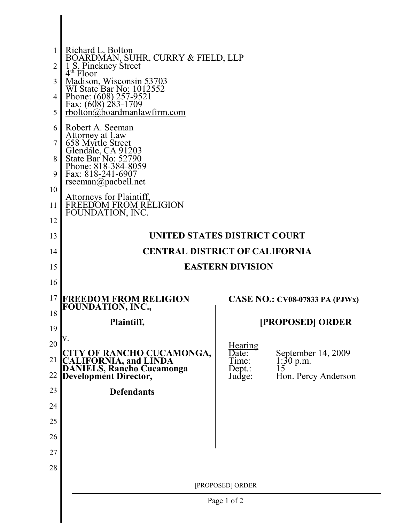|          | Richard L. Bolton                                                                                                  |                                  |                                                       |
|----------|--------------------------------------------------------------------------------------------------------------------|----------------------------------|-------------------------------------------------------|
| 2        | BOARDMAN, SUHR, CURRY & FIELD, LLP<br>1 S. Pinckney Street<br>4 <sup>th</sup> Floor                                |                                  |                                                       |
| 3        | Madison, Wisconsin 53703<br>WI State Bar No: 1012552                                                               |                                  |                                                       |
| 4        |                                                                                                                    |                                  |                                                       |
| 5        | Phone: $(608)$ 257-9521<br>Fax: $(608)$ 283-1709<br>rbolton@boardmanlawfirm.com                                    |                                  |                                                       |
| 6        | Robert A. Seeman                                                                                                   |                                  |                                                       |
|          | Attorney at Law<br>658 Myrtle Street<br>Glendale, CA 91203<br>State Bar No: 52790                                  |                                  |                                                       |
| 8        |                                                                                                                    |                                  |                                                       |
| 9        | Phone: 818-384-8059<br>Fax: 818-241-6907                                                                           |                                  |                                                       |
| 10       | rseeman@pacbell.net                                                                                                |                                  |                                                       |
| 11       | Attorneys for Plaintiff,<br>FREEDOM FROM RELIGION<br>FOUNDATION, INC.                                              |                                  |                                                       |
| 12       |                                                                                                                    |                                  |                                                       |
| 13       | UNITED STATES DISTRICT COURT                                                                                       |                                  |                                                       |
| 14       | <b>CENTRAL DISTRICT OF CALIFORNIA</b>                                                                              |                                  |                                                       |
| 15       | <b>EASTERN DIVISION</b>                                                                                            |                                  |                                                       |
| 16       |                                                                                                                    |                                  |                                                       |
| 17       | <b>FREEDOM FROM RELIGION</b><br>FOUNDATION, INC.,                                                                  |                                  | CASE NO.: $CV08-07833$ PA (PJWx)                      |
| 18       | Plaintiff,                                                                                                         |                                  | [PROPOSED] ORDER                                      |
| 19       | V.                                                                                                                 |                                  |                                                       |
| 20<br>21 |                                                                                                                    | <u>Hearing</u><br>Date:<br>Time: | September 14, 2009                                    |
| 22       | <b>CITY OF RANCHO CUCAMONGA,<br/>CALIFORNIA, and LINDA<br/>DANIELS, Rancho Cucamonga<br/>Development Director,</b> | Dept.:<br>Judge:                 | $\frac{1:30 \text{ p.m.}}{15}$<br>Hon. Percy Anderson |
| 23       | <b>Defendants</b>                                                                                                  |                                  |                                                       |
| 24       |                                                                                                                    |                                  |                                                       |
| 25       |                                                                                                                    |                                  |                                                       |
| 26       |                                                                                                                    |                                  |                                                       |
| 27       |                                                                                                                    |                                  |                                                       |
| 28       |                                                                                                                    |                                  |                                                       |
|          |                                                                                                                    |                                  |                                                       |
|          |                                                                                                                    | [PROPOSED] ORDER                 |                                                       |
|          |                                                                                                                    | Page 1 of 2                      |                                                       |